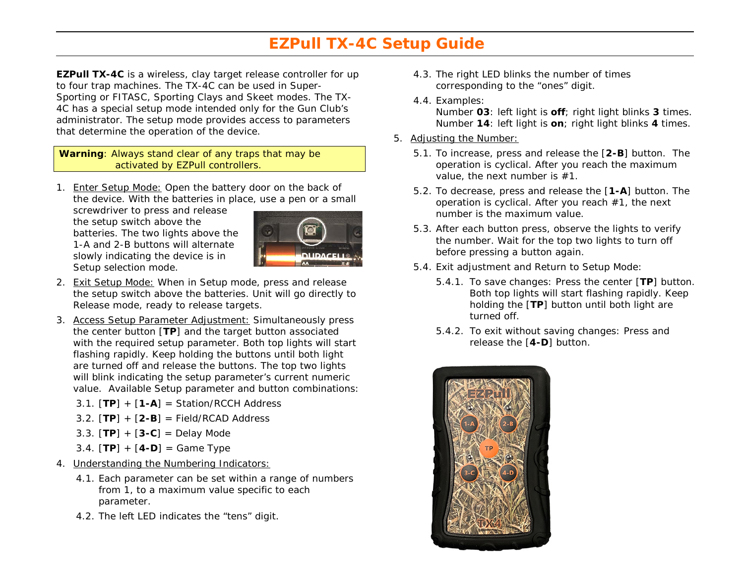## **EZPull TX-4C Setup Guide**

**EZPull TX-4C** is a wireless, clay target release controller for up to four trap machines. The TX-4C can be used in Super-Sporting or FITASC, Sporting Clays and Skeet modes. The TX-4C has a special setup mode intended only for the Gun Club's administrator. The setup mode provides access to parameters that determine the operation of the device.

**Warning**: Always stand clear of any traps that may be activated by EZPull controllers.

1. Enter Setup Mode: Open the battery door on the back of the device. With the batteries in place, use a pen or a small

screwdriver to press and release the setup switch above the batteries. The two lights above the 1-A and 2-B buttons will alternate slowly indicating the device is in Setup selection mode.



- 2. Exit Setup Mode: When in Setup mode, press and release the setup switch above the batteries. Unit will go directly to Release mode, ready to release targets.
- 3. Access Setup Parameter Adjustment: Simultaneously press the center button [**TP**] and the target button associated with the required setup parameter. Both top lights will start flashing rapidly. Keep holding the buttons until both light are turned off and release the buttons. The top two lights will blink indicating the setup parameter's current numeric value. Available Setup parameter and button combinations:
	- 3.1. [**TP**] + [**1-A**] = Station/RCCH Address
	- 3.2. [**TP**] + [**2-B**] = Field/RCAD Address
	- 3.3. [**TP**] + [**3-C**] = Delay Mode
	- 3.4. [**TP**] + [**4-D**] = Game Type
- 4. Understanding the Numbering Indicators:
	- 4.1. Each parameter can be set within a range of numbers from 1, to a maximum value specific to each parameter.
	- 4.2. The left LED indicates the "tens" digit.
- 4.3. The right LED blinks the number of times corresponding to the "ones" digit.
- 4.4. Examples:

Number **03**: left light is **off**; right light blinks **3** times. Number **14**: left light is **on**; right light blinks **4** times.

- 5. Adjusting the Number:
	- 5.1. To increase, press and release the [**2-B**] button. The operation is cyclical. After you reach the maximum value, the next number is #1.
	- 5.2. To decrease, press and release the [**1-A**] button. The operation is cyclical. After you reach #1, the next number is the maximum value.
	- 5.3. After each button press, observe the lights to verify the number. Wait for the top two lights to turn off before pressing a button again.
	- 5.4. Exit adjustment and Return to Setup Mode:
		- 5.4.1. To save changes: Press the center [**TP**] button. Both top lights will start flashing rapidly. Keep holding the [**TP**] button until both light are turned off.
		- 5.4.2. To exit without saving changes: Press and release the [**4-D**] button.